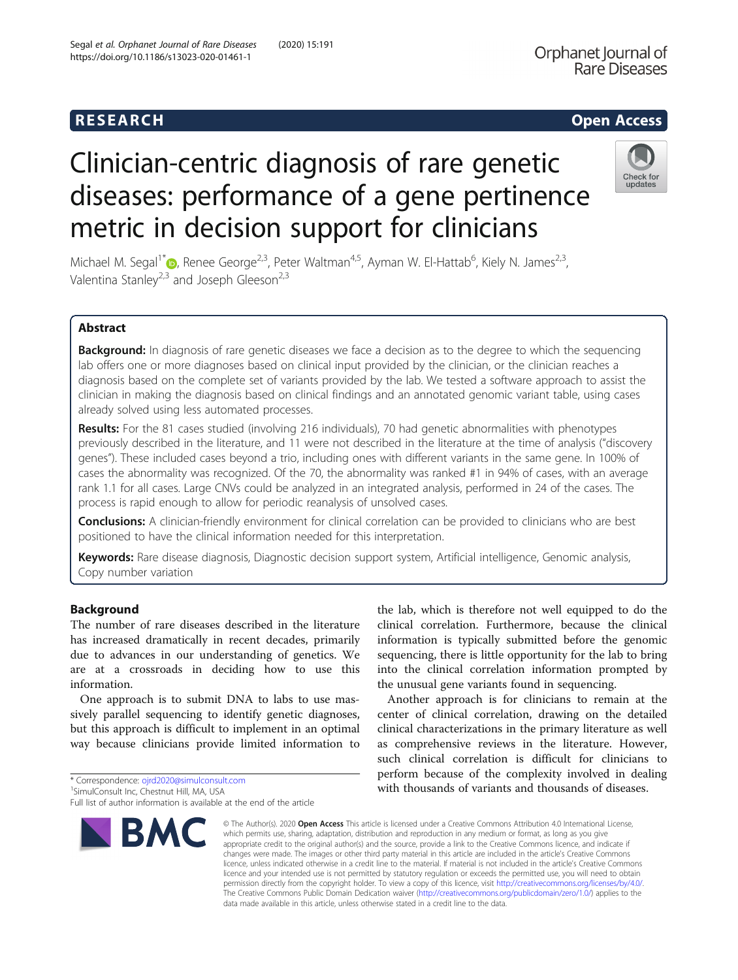# Orphanet Journal of **Rare Diseases**

# **RESEARCH CHILD CONTROL** CONTROL CONTROL CONTROL CONTROL CONTROL CONTROL CONTROL CONTROL CONTROL CONTROL CONTROL CONTROL CONTROL CONTROL CONTROL CONTROL CONTROL CONTROL CONTROL CONTROL CONTROL CONTROL CONTROL CONTROL CONTR

# Clinician-centric diagnosis of rare genetic diseases: performance of a gene pertinence metric in decision support for clinicians



Michael M. Segal<sup>1\*</sup>®[,](http://orcid.org/0000-0002-2487-6221) Renee George<sup>2,3</sup>, Peter Waltman<sup>4,5</sup>, Ayman W. El-Hattab<sup>6</sup>, Kiely N. James<sup>2,3</sup>, Valentina Stanley<sup>2,3</sup> and Joseph Gleeson<sup>2,3</sup>

# Abstract

Background: In diagnosis of rare genetic diseases we face a decision as to the degree to which the sequencing lab offers one or more diagnoses based on clinical input provided by the clinician, or the clinician reaches a diagnosis based on the complete set of variants provided by the lab. We tested a software approach to assist the clinician in making the diagnosis based on clinical findings and an annotated genomic variant table, using cases already solved using less automated processes.

Results: For the 81 cases studied (involving 216 individuals), 70 had genetic abnormalities with phenotypes previously described in the literature, and 11 were not described in the literature at the time of analysis ("discovery genes"). These included cases beyond a trio, including ones with different variants in the same gene. In 100% of cases the abnormality was recognized. Of the 70, the abnormality was ranked #1 in 94% of cases, with an average rank 1.1 for all cases. Large CNVs could be analyzed in an integrated analysis, performed in 24 of the cases. The process is rapid enough to allow for periodic reanalysis of unsolved cases.

**Conclusions:** A clinician-friendly environment for clinical correlation can be provided to clinicians who are best positioned to have the clinical information needed for this interpretation.

Keywords: Rare disease diagnosis, Diagnostic decision support system, Artificial intelligence, Genomic analysis, Copy number variation

# Background

The number of rare diseases described in the literature has increased dramatically in recent decades, primarily due to advances in our understanding of genetics. We are at a crossroads in deciding how to use this information.

One approach is to submit DNA to labs to use massively parallel sequencing to identify genetic diagnoses, but this approach is difficult to implement in an optimal way because clinicians provide limited information to

\* Correspondence: [ojrd2020@simulconsult.com](mailto:ojrd2020@simulconsult.com) <sup>1</sup>

Full list of author information is available at the end of the article



the lab, which is therefore not well equipped to do the clinical correlation. Furthermore, because the clinical information is typically submitted before the genomic sequencing, there is little opportunity for the lab to bring into the clinical correlation information prompted by the unusual gene variants found in sequencing.

Another approach is for clinicians to remain at the center of clinical correlation, drawing on the detailed clinical characterizations in the primary literature as well as comprehensive reviews in the literature. However, such clinical correlation is difficult for clinicians to perform because of the complexity involved in dealing with thousands of variants and thousands of diseases.

© The Author(s), 2020 **Open Access** This article is licensed under a Creative Commons Attribution 4.0 International License, which permits use, sharing, adaptation, distribution and reproduction in any medium or format, as long as you give appropriate credit to the original author(s) and the source, provide a link to the Creative Commons licence, and indicate if changes were made. The images or other third party material in this article are included in the article's Creative Commons licence, unless indicated otherwise in a credit line to the material. If material is not included in the article's Creative Commons licence and your intended use is not permitted by statutory regulation or exceeds the permitted use, you will need to obtain permission directly from the copyright holder. To view a copy of this licence, visit [http://creativecommons.org/licenses/by/4.0/.](http://creativecommons.org/licenses/by/4.0/) The Creative Commons Public Domain Dedication waiver [\(http://creativecommons.org/publicdomain/zero/1.0/](http://creativecommons.org/publicdomain/zero/1.0/)) applies to the data made available in this article, unless otherwise stated in a credit line to the data.

<sup>&</sup>lt;sup>1</sup>SimulConsult Inc, Chestnut Hill, MA, USA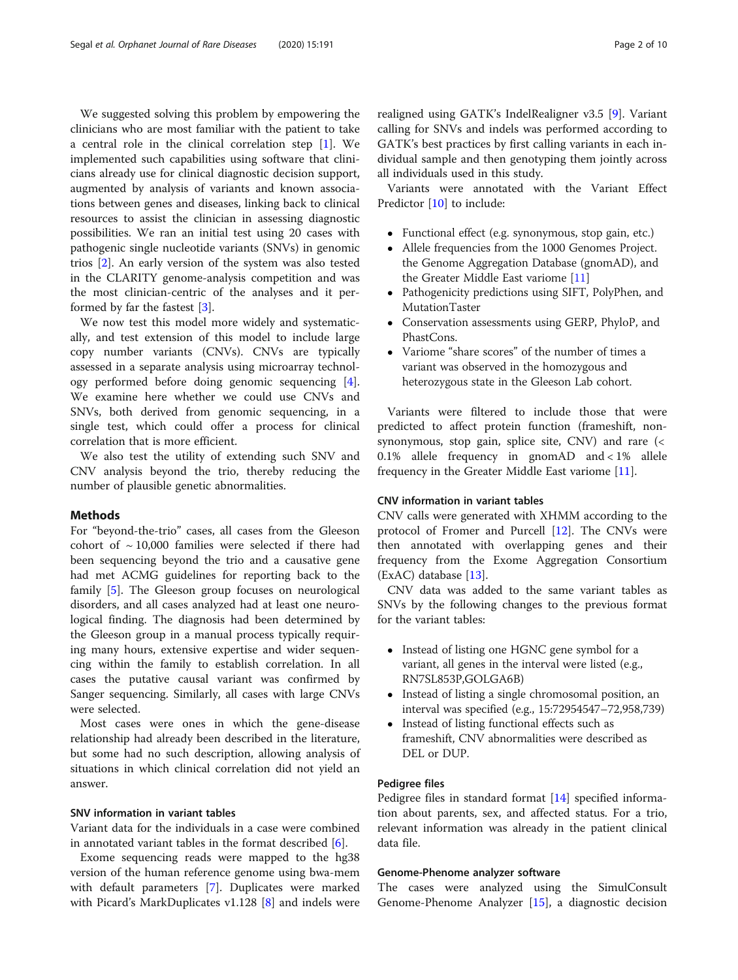We suggested solving this problem by empowering the clinicians who are most familiar with the patient to take a central role in the clinical correlation step [[1\]](#page-8-0). We implemented such capabilities using software that clinicians already use for clinical diagnostic decision support, augmented by analysis of variants and known associations between genes and diseases, linking back to clinical resources to assist the clinician in assessing diagnostic possibilities. We ran an initial test using 20 cases with pathogenic single nucleotide variants (SNVs) in genomic trios [[2\]](#page-8-0). An early version of the system was also tested in the CLARITY genome-analysis competition and was the most clinician-centric of the analyses and it performed by far the fastest [[3\]](#page-8-0).

We now test this model more widely and systematically, and test extension of this model to include large copy number variants (CNVs). CNVs are typically assessed in a separate analysis using microarray technology performed before doing genomic sequencing [\[4](#page-8-0)]. We examine here whether we could use CNVs and SNVs, both derived from genomic sequencing, in a single test, which could offer a process for clinical correlation that is more efficient.

We also test the utility of extending such SNV and CNV analysis beyond the trio, thereby reducing the number of plausible genetic abnormalities.

# Methods

For "beyond-the-trio" cases, all cases from the Gleeson cohort of  $\sim$  10,000 families were selected if there had been sequencing beyond the trio and a causative gene had met ACMG guidelines for reporting back to the family [\[5](#page-8-0)]. The Gleeson group focuses on neurological disorders, and all cases analyzed had at least one neurological finding. The diagnosis had been determined by the Gleeson group in a manual process typically requiring many hours, extensive expertise and wider sequencing within the family to establish correlation. In all cases the putative causal variant was confirmed by Sanger sequencing. Similarly, all cases with large CNVs were selected.

Most cases were ones in which the gene-disease relationship had already been described in the literature, but some had no such description, allowing analysis of situations in which clinical correlation did not yield an answer.

# SNV information in variant tables

Variant data for the individuals in a case were combined in annotated variant tables in the format described  $[6]$  $[6]$ .

Exome sequencing reads were mapped to the hg38 version of the human reference genome using bwa-mem with default parameters [\[7](#page-8-0)]. Duplicates were marked with Picard's MarkDuplicates v1.128 [\[8\]](#page-8-0) and indels were

realigned using GATK's IndelRealigner v3.5 [\[9](#page-8-0)]. Variant calling for SNVs and indels was performed according to GATK's best practices by first calling variants in each individual sample and then genotyping them jointly across all individuals used in this study.

Variants were annotated with the Variant Effect Predictor [[10](#page-8-0)] to include:

- Functional effect (e.g. synonymous, stop gain, etc.)
- Allele frequencies from the 1000 Genomes Project. the Genome Aggregation Database (gnomAD), and the Greater Middle East variome [\[11](#page-8-0)]
- Pathogenicity predictions using SIFT, PolyPhen, and MutationTaster
- Conservation assessments using GERP, PhyloP, and PhastCons.
- Variome "share scores" of the number of times a variant was observed in the homozygous and heterozygous state in the Gleeson Lab cohort.

Variants were filtered to include those that were predicted to affect protein function (frameshift, nonsynonymous, stop gain, splice site, CNV) and rare (< 0.1% allele frequency in gnomAD and < 1% allele frequency in the Greater Middle East variome [\[11\]](#page-8-0).

# CNV information in variant tables

CNV calls were generated with XHMM according to the protocol of Fromer and Purcell [\[12](#page-9-0)]. The CNVs were then annotated with overlapping genes and their frequency from the Exome Aggregation Consortium (ExAC) database [[13\]](#page-9-0).

CNV data was added to the same variant tables as SNVs by the following changes to the previous format for the variant tables:

- Instead of listing one HGNC gene symbol for a variant, all genes in the interval were listed (e.g., RN7SL853P,GOLGA6B)
- Instead of listing a single chromosomal position, an interval was specified (e.g., 15:72954547–72,958,739)
- Instead of listing functional effects such as frameshift, CNV abnormalities were described as DEL or DUP.

# Pedigree files

Pedigree files in standard format [\[14](#page-9-0)] specified information about parents, sex, and affected status. For a trio, relevant information was already in the patient clinical data file.

# Genome-Phenome analyzer software

The cases were analyzed using the SimulConsult Genome-Phenome Analyzer [\[15\]](#page-9-0), a diagnostic decision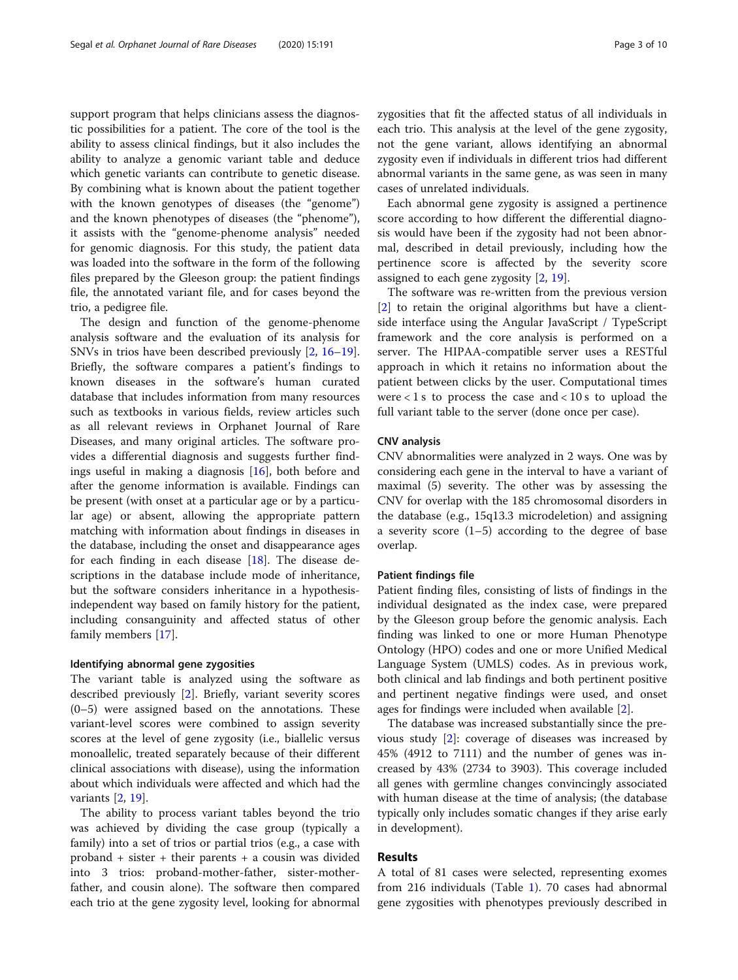support program that helps clinicians assess the diagnostic possibilities for a patient. The core of the tool is the ability to assess clinical findings, but it also includes the ability to analyze a genomic variant table and deduce which genetic variants can contribute to genetic disease. By combining what is known about the patient together with the known genotypes of diseases (the "genome") and the known phenotypes of diseases (the "phenome"), it assists with the "genome-phenome analysis" needed for genomic diagnosis. For this study, the patient data was loaded into the software in the form of the following files prepared by the Gleeson group: the patient findings file, the annotated variant file, and for cases beyond the trio, a pedigree file.

The design and function of the genome-phenome analysis software and the evaluation of its analysis for SNVs in trios have been described previously [\[2](#page-8-0), [16](#page-9-0)–[19](#page-9-0)]. Briefly, the software compares a patient's findings to known diseases in the software's human curated database that includes information from many resources such as textbooks in various fields, review articles such as all relevant reviews in Orphanet Journal of Rare Diseases, and many original articles. The software provides a differential diagnosis and suggests further findings useful in making a diagnosis [\[16](#page-9-0)], both before and after the genome information is available. Findings can be present (with onset at a particular age or by a particular age) or absent, allowing the appropriate pattern matching with information about findings in diseases in the database, including the onset and disappearance ages for each finding in each disease  $[18]$  $[18]$ . The disease descriptions in the database include mode of inheritance, but the software considers inheritance in a hypothesisindependent way based on family history for the patient, including consanguinity and affected status of other family members [\[17](#page-9-0)].

# Identifying abnormal gene zygosities

The variant table is analyzed using the software as described previously [\[2](#page-8-0)]. Briefly, variant severity scores (0–5) were assigned based on the annotations. These variant-level scores were combined to assign severity scores at the level of gene zygosity (i.e., biallelic versus monoallelic, treated separately because of their different clinical associations with disease), using the information about which individuals were affected and which had the variants [[2,](#page-8-0) [19\]](#page-9-0).

The ability to process variant tables beyond the trio was achieved by dividing the case group (typically a family) into a set of trios or partial trios (e.g., a case with proband + sister + their parents + a cousin was divided into 3 trios: proband-mother-father, sister-motherfather, and cousin alone). The software then compared each trio at the gene zygosity level, looking for abnormal zygosities that fit the affected status of all individuals in each trio. This analysis at the level of the gene zygosity, not the gene variant, allows identifying an abnormal zygosity even if individuals in different trios had different abnormal variants in the same gene, as was seen in many cases of unrelated individuals.

Each abnormal gene zygosity is assigned a pertinence score according to how different the differential diagnosis would have been if the zygosity had not been abnormal, described in detail previously, including how the pertinence score is affected by the severity score assigned to each gene zygosity [[2,](#page-8-0) [19\]](#page-9-0).

The software was re-written from the previous version [[2\]](#page-8-0) to retain the original algorithms but have a clientside interface using the Angular JavaScript / TypeScript framework and the core analysis is performed on a server. The HIPAA-compatible server uses a RESTful approach in which it retains no information about the patient between clicks by the user. Computational times were  $< 1$  s to process the case and  $< 10$  s to upload the full variant table to the server (done once per case).

# CNV analysis

CNV abnormalities were analyzed in 2 ways. One was by considering each gene in the interval to have a variant of maximal (5) severity. The other was by assessing the CNV for overlap with the 185 chromosomal disorders in the database (e.g., 15q13.3 microdeletion) and assigning a severity score  $(1-5)$  according to the degree of base overlap.

# Patient findings file

Patient finding files, consisting of lists of findings in the individual designated as the index case, were prepared by the Gleeson group before the genomic analysis. Each finding was linked to one or more Human Phenotype Ontology (HPO) codes and one or more Unified Medical Language System (UMLS) codes. As in previous work, both clinical and lab findings and both pertinent positive and pertinent negative findings were used, and onset ages for findings were included when available [\[2](#page-8-0)].

The database was increased substantially since the previous study [[2\]](#page-8-0): coverage of diseases was increased by 45% (4912 to 7111) and the number of genes was increased by 43% (2734 to 3903). This coverage included all genes with germline changes convincingly associated with human disease at the time of analysis; (the database typically only includes somatic changes if they arise early in development).

# Results

A total of 81 cases were selected, representing exomes from 216 individuals (Table [1\)](#page-3-0). 70 cases had abnormal gene zygosities with phenotypes previously described in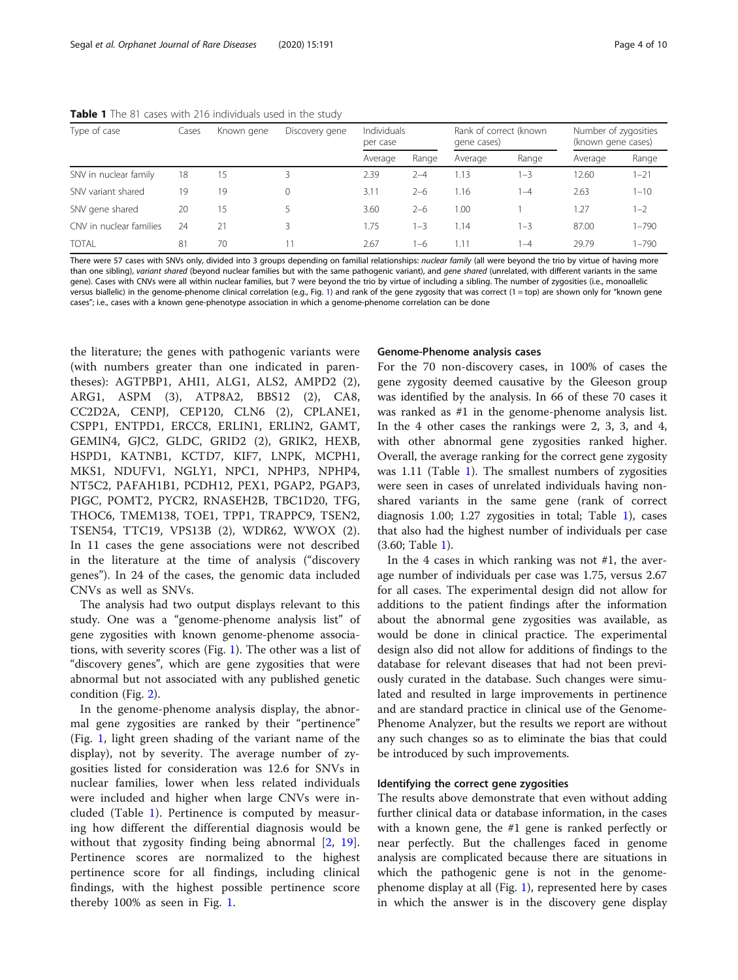<span id="page-3-0"></span>Table 1 The 81 cases with 216 individuals used in the study

| Type of case            | Cases | Known gene | Discovery gene | Individuals<br>per case |         | Rank of correct (known<br>gene cases) |       | Number of zygosities<br>(known gene cases) |           |
|-------------------------|-------|------------|----------------|-------------------------|---------|---------------------------------------|-------|--------------------------------------------|-----------|
|                         |       |            |                | Average                 | Range   | Average                               | Range | Average                                    | Range     |
| SNV in nuclear family   | 18    | 15         |                | 2.39                    | $2 - 4$ | . 13                                  | $ -3$ | 12.60                                      | $1 - 21$  |
| SNV variant shared      | 19    | 19         | $\Omega$       | 3.11                    | $2 - 6$ | 1.16                                  | $-4$  | 2.63                                       | $1 - 10$  |
| SNV gene shared         | 20    | 15         |                | 3.60                    | $2 - 6$ | 00.1                                  |       | 1.27                                       | $1 - 2$   |
| CNV in nuclear families | 24    | 21         |                | 1.75                    | $1 - 3$ | 14،                                   | 1–3   | 87.00                                      | 1-790     |
| <b>TOTAL</b>            | 81    | 70         |                | 2.67                    | 1-6     | 1.11                                  | $-4$  | 29.79                                      | $1 - 790$ |

There were 57 cases with SNVs only, divided into 3 groups depending on familial relationships: nuclear family (all were beyond the trio by virtue of having more than one sibling), variant shared (beyond nuclear families but with the same pathogenic variant), and gene shared (unrelated, with different variants in the same gene). Cases with CNVs were all within nuclear families, but 7 were beyond the trio by virtue of including a sibling. The number of zygosities (i.e., monoallelic versus biallelic) in the genome-phenome clinical correlation (e.g., Fig. [1\)](#page-4-0) and rank of the gene zygosity that was correct (1 = top) are shown only for "known gene cases"; i.e., cases with a known gene-phenotype association in which a genome-phenome correlation can be done

the literature; the genes with pathogenic variants were (with numbers greater than one indicated in parentheses): AGTPBP1, AHI1, ALG1, ALS2, AMPD2 (2), ARG1, ASPM (3), ATP8A2, BBS12 (2), CA8, CC2D2A, CENPJ, CEP120, CLN6 (2), CPLANE1, CSPP1, ENTPD1, ERCC8, ERLIN1, ERLIN2, GAMT, GEMIN4, GJC2, GLDC, GRID2 (2), GRIK2, HEXB, HSPD1, KATNB1, KCTD7, KIF7, LNPK, MCPH1, MKS1, NDUFV1, NGLY1, NPC1, NPHP3, NPHP4, NT5C2, PAFAH1B1, PCDH12, PEX1, PGAP2, PGAP3, PIGC, POMT2, PYCR2, RNASEH2B, TBC1D20, TFG, THOC6, TMEM138, TOE1, TPP1, TRAPPC9, TSEN2, TSEN54, TTC19, VPS13B (2), WDR62, WWOX (2). In 11 cases the gene associations were not described in the literature at the time of analysis ("discovery genes"). In 24 of the cases, the genomic data included CNVs as well as SNVs.

The analysis had two output displays relevant to this study. One was a "genome-phenome analysis list" of gene zygosities with known genome-phenome associations, with severity scores (Fig. [1](#page-4-0)). The other was a list of "discovery genes", which are gene zygosities that were abnormal but not associated with any published genetic condition (Fig. [2](#page-4-0)).

In the genome-phenome analysis display, the abnormal gene zygosities are ranked by their "pertinence" (Fig. [1,](#page-4-0) light green shading of the variant name of the display), not by severity. The average number of zygosities listed for consideration was 12.6 for SNVs in nuclear families, lower when less related individuals were included and higher when large CNVs were included (Table 1). Pertinence is computed by measuring how different the differential diagnosis would be without that zygosity finding being abnormal [[2,](#page-8-0) [19](#page-9-0)]. Pertinence scores are normalized to the highest pertinence score for all findings, including clinical findings, with the highest possible pertinence score thereby 100% as seen in Fig. [1.](#page-4-0)

# Genome-Phenome analysis cases

For the 70 non-discovery cases, in 100% of cases the gene zygosity deemed causative by the Gleeson group was identified by the analysis. In 66 of these 70 cases it was ranked as #1 in the genome-phenome analysis list. In the 4 other cases the rankings were 2, 3, 3, and 4, with other abnormal gene zygosities ranked higher. Overall, the average ranking for the correct gene zygosity was 1.11 (Table 1). The smallest numbers of zygosities were seen in cases of unrelated individuals having nonshared variants in the same gene (rank of correct diagnosis 1.00; 1.27 zygosities in total; Table 1), cases that also had the highest number of individuals per case (3.60; Table 1).

In the 4 cases in which ranking was not #1, the average number of individuals per case was 1.75, versus 2.67 for all cases. The experimental design did not allow for additions to the patient findings after the information about the abnormal gene zygosities was available, as would be done in clinical practice. The experimental design also did not allow for additions of findings to the database for relevant diseases that had not been previously curated in the database. Such changes were simulated and resulted in large improvements in pertinence and are standard practice in clinical use of the Genome-Phenome Analyzer, but the results we report are without any such changes so as to eliminate the bias that could be introduced by such improvements.

# Identifying the correct gene zygosities

The results above demonstrate that even without adding further clinical data or database information, in the cases with a known gene, the #1 gene is ranked perfectly or near perfectly. But the challenges faced in genome analysis are complicated because there are situations in which the pathogenic gene is not in the genomephenome display at all (Fig. [1](#page-4-0)), represented here by cases in which the answer is in the discovery gene display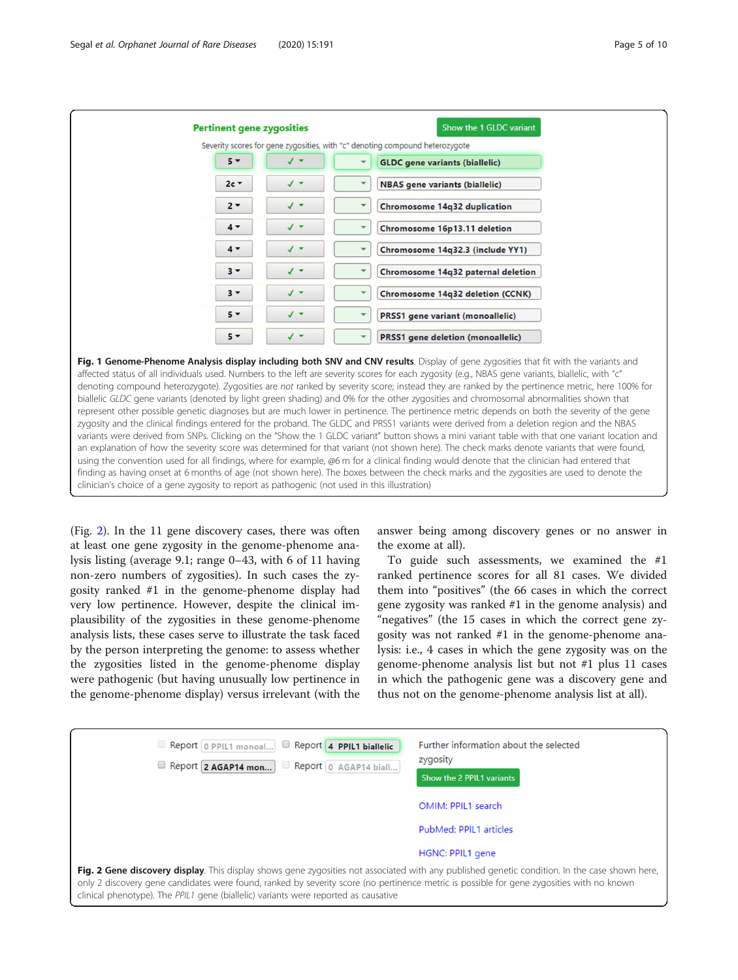<span id="page-4-0"></span>

biallelic GLDC gene variants (denoted by light green shading) and 0% for the other zygosities and chromosomal abnormalities shown that represent other possible genetic diagnoses but are much lower in pertinence. The pertinence metric depends on both the severity of the gene zygosity and the clinical findings entered for the proband. The GLDC and PRSS1 variants were derived from a deletion region and the NBAS variants were derived from SNPs. Clicking on the "Show the 1 GLDC variant" button shows a mini variant table with that one variant location and an explanation of how the severity score was determined for that variant (not shown here). The check marks denote variants that were found, using the convention used for all findings, where for example, @6 m for a clinical finding would denote that the clinician had entered that finding as having onset at 6 months of age (not shown here). The boxes between the check marks and the zygosities are used to denote the clinician's choice of a gene zygosity to report as pathogenic (not used in this illustration)

(Fig. 2). In the 11 gene discovery cases, there was often at least one gene zygosity in the genome-phenome analysis listing (average 9.1; range 0–43, with 6 of 11 having non-zero numbers of zygosities). In such cases the zygosity ranked #1 in the genome-phenome display had very low pertinence. However, despite the clinical implausibility of the zygosities in these genome-phenome analysis lists, these cases serve to illustrate the task faced by the person interpreting the genome: to assess whether the zygosities listed in the genome-phenome display were pathogenic (but having unusually low pertinence in the genome-phenome display) versus irrelevant (with the

answer being among discovery genes or no answer in the exome at all).

To guide such assessments, we examined the #1 ranked pertinence scores for all 81 cases. We divided them into "positives" (the 66 cases in which the correct gene zygosity was ranked #1 in the genome analysis) and "negatives" (the 15 cases in which the correct gene zygosity was not ranked #1 in the genome-phenome analysis: i.e., 4 cases in which the gene zygosity was on the genome-phenome analysis list but not #1 plus 11 cases in which the pathogenic gene was a discovery gene and thus not on the genome-phenome analysis list at all).

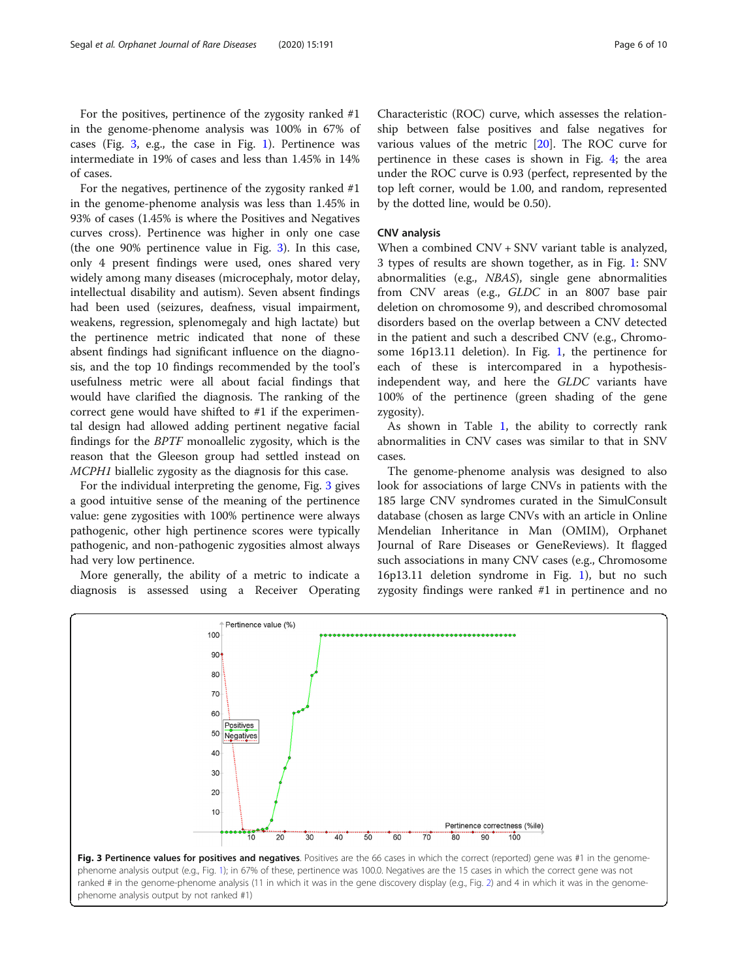<span id="page-5-0"></span>For the positives, pertinence of the zygosity ranked #1 in the genome-phenome analysis was 100% in 67% of cases (Fig. 3, e.g., the case in Fig. [1](#page-4-0)). Pertinence was intermediate in 19% of cases and less than 1.45% in 14% of cases.

For the negatives, pertinence of the zygosity ranked  $#1$ in the genome-phenome analysis was less than 1.45% in 93% of cases (1.45% is where the Positives and Negatives curves cross). Pertinence was higher in only one case (the one 90% pertinence value in Fig. 3). In this case, only 4 present findings were used, ones shared very widely among many diseases (microcephaly, motor delay, intellectual disability and autism). Seven absent findings had been used (seizures, deafness, visual impairment, weakens, regression, splenomegaly and high lactate) but the pertinence metric indicated that none of these absent findings had significant influence on the diagnosis, and the top 10 findings recommended by the tool's usefulness metric were all about facial findings that would have clarified the diagnosis. The ranking of the correct gene would have shifted to #1 if the experimental design had allowed adding pertinent negative facial findings for the BPTF monoallelic zygosity, which is the reason that the Gleeson group had settled instead on MCPH1 biallelic zygosity as the diagnosis for this case.

For the individual interpreting the genome, Fig. 3 gives a good intuitive sense of the meaning of the pertinence value: gene zygosities with 100% pertinence were always pathogenic, other high pertinence scores were typically pathogenic, and non-pathogenic zygosities almost always had very low pertinence.

More generally, the ability of a metric to indicate a diagnosis is assessed using a Receiver Operating

Characteristic (ROC) curve, which assesses the relationship between false positives and false negatives for various values of the metric [[20](#page-9-0)]. The ROC curve for pertinence in these cases is shown in Fig. [4;](#page-6-0) the area under the ROC curve is 0.93 (perfect, represented by the top left corner, would be 1.00, and random, represented by the dotted line, would be 0.50).

# CNV analysis

When a combined CNV + SNV variant table is analyzed, 3 types of results are shown together, as in Fig. [1](#page-4-0): SNV abnormalities (e.g., NBAS), single gene abnormalities from CNV areas (e.g., GLDC in an 8007 base pair deletion on chromosome 9), and described chromosomal disorders based on the overlap between a CNV detected in the patient and such a described CNV (e.g., Chromosome 16p13.11 deletion). In Fig. [1,](#page-4-0) the pertinence for each of these is intercompared in a hypothesisindependent way, and here the GLDC variants have 100% of the pertinence (green shading of the gene zygosity).

As shown in Table [1](#page-3-0), the ability to correctly rank abnormalities in CNV cases was similar to that in SNV cases.

The genome-phenome analysis was designed to also look for associations of large CNVs in patients with the 185 large CNV syndromes curated in the SimulConsult database (chosen as large CNVs with an article in Online Mendelian Inheritance in Man (OMIM), Orphanet Journal of Rare Diseases or GeneReviews). It flagged such associations in many CNV cases (e.g., Chromosome 16p13.11 deletion syndrome in Fig. [1](#page-4-0)), but no such zygosity findings were ranked #1 in pertinence and no

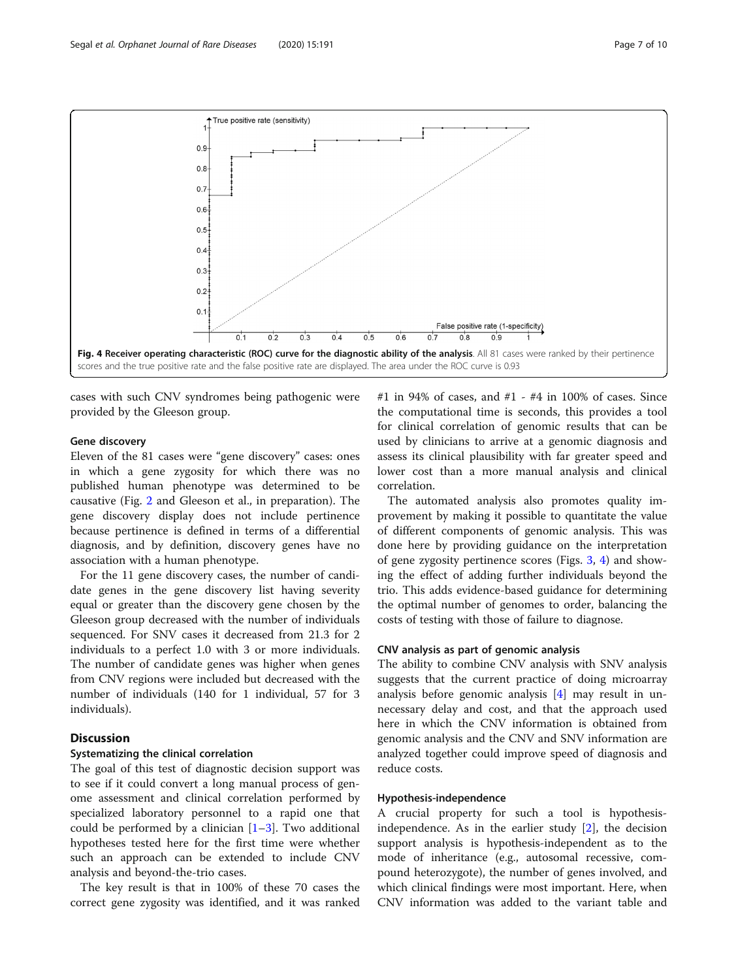<span id="page-6-0"></span>

cases with such CNV syndromes being pathogenic were provided by the Gleeson group.

# Gene discovery

Eleven of the 81 cases were "gene discovery" cases: ones in which a gene zygosity for which there was no published human phenotype was determined to be causative (Fig. [2](#page-4-0) and Gleeson et al., in preparation). The gene discovery display does not include pertinence because pertinence is defined in terms of a differential diagnosis, and by definition, discovery genes have no association with a human phenotype.

For the 11 gene discovery cases, the number of candidate genes in the gene discovery list having severity equal or greater than the discovery gene chosen by the Gleeson group decreased with the number of individuals sequenced. For SNV cases it decreased from 21.3 for 2 individuals to a perfect 1.0 with 3 or more individuals. The number of candidate genes was higher when genes from CNV regions were included but decreased with the number of individuals (140 for 1 individual, 57 for 3 individuals).

# **Discussion**

# Systematizing the clinical correlation

The goal of this test of diagnostic decision support was to see if it could convert a long manual process of genome assessment and clinical correlation performed by specialized laboratory personnel to a rapid one that could be performed by a clinician  $[1-3]$  $[1-3]$  $[1-3]$  $[1-3]$ . Two additional hypotheses tested here for the first time were whether such an approach can be extended to include CNV analysis and beyond-the-trio cases.

The key result is that in 100% of these 70 cases the correct gene zygosity was identified, and it was ranked

#1 in 94% of cases, and #1 - #4 in 100% of cases. Since the computational time is seconds, this provides a tool for clinical correlation of genomic results that can be used by clinicians to arrive at a genomic diagnosis and assess its clinical plausibility with far greater speed and lower cost than a more manual analysis and clinical correlation.

The automated analysis also promotes quality improvement by making it possible to quantitate the value of different components of genomic analysis. This was done here by providing guidance on the interpretation of gene zygosity pertinence scores (Figs. [3,](#page-5-0) 4) and showing the effect of adding further individuals beyond the trio. This adds evidence-based guidance for determining the optimal number of genomes to order, balancing the costs of testing with those of failure to diagnose.

# CNV analysis as part of genomic analysis

The ability to combine CNV analysis with SNV analysis suggests that the current practice of doing microarray analysis before genomic analysis [[4](#page-8-0)] may result in unnecessary delay and cost, and that the approach used here in which the CNV information is obtained from genomic analysis and the CNV and SNV information are analyzed together could improve speed of diagnosis and reduce costs.

# Hypothesis-independence

A crucial property for such a tool is hypothesisindependence. As in the earlier study  $[2]$  $[2]$ , the decision support analysis is hypothesis-independent as to the mode of inheritance (e.g., autosomal recessive, compound heterozygote), the number of genes involved, and which clinical findings were most important. Here, when CNV information was added to the variant table and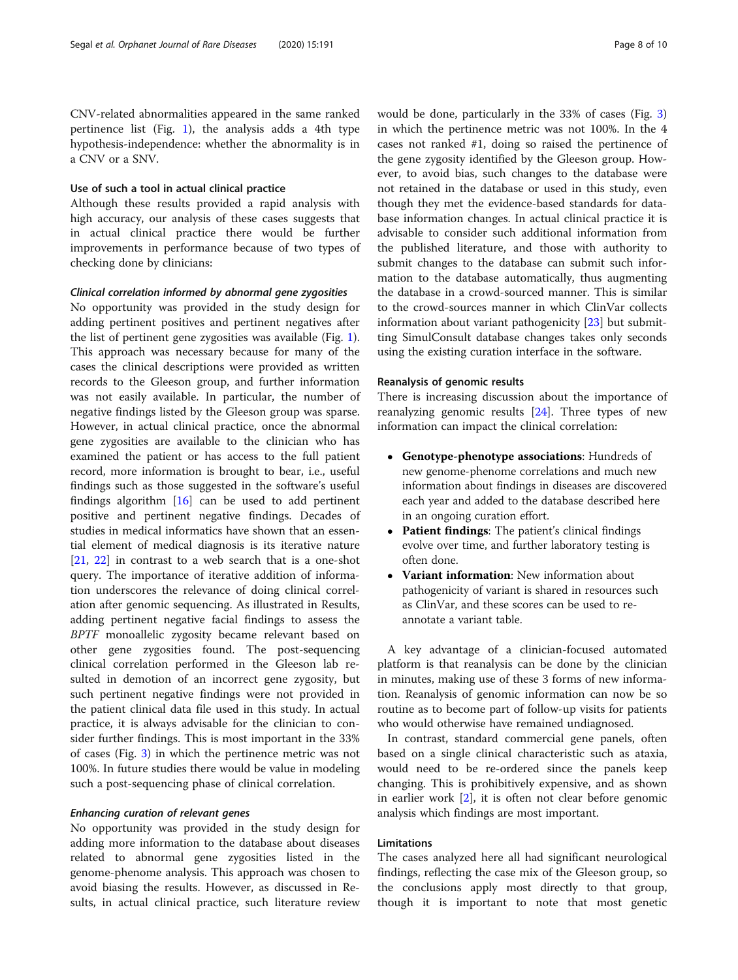CNV-related abnormalities appeared in the same ranked pertinence list (Fig. [1](#page-4-0)), the analysis adds a 4th type hypothesis-independence: whether the abnormality is in a CNV or a SNV.

# Use of such a tool in actual clinical practice

Although these results provided a rapid analysis with high accuracy, our analysis of these cases suggests that in actual clinical practice there would be further improvements in performance because of two types of checking done by clinicians:

# Clinical correlation informed by abnormal gene zygosities

No opportunity was provided in the study design for adding pertinent positives and pertinent negatives after the list of pertinent gene zygosities was available (Fig. [1](#page-4-0)). This approach was necessary because for many of the cases the clinical descriptions were provided as written records to the Gleeson group, and further information was not easily available. In particular, the number of negative findings listed by the Gleeson group was sparse. However, in actual clinical practice, once the abnormal gene zygosities are available to the clinician who has examined the patient or has access to the full patient record, more information is brought to bear, i.e., useful findings such as those suggested in the software's useful findings algorithm  $[16]$  $[16]$  can be used to add pertinent positive and pertinent negative findings. Decades of studies in medical informatics have shown that an essential element of medical diagnosis is its iterative nature [[21,](#page-9-0) [22\]](#page-9-0) in contrast to a web search that is a one-shot query. The importance of iterative addition of information underscores the relevance of doing clinical correlation after genomic sequencing. As illustrated in Results, adding pertinent negative facial findings to assess the BPTF monoallelic zygosity became relevant based on other gene zygosities found. The post-sequencing clinical correlation performed in the Gleeson lab resulted in demotion of an incorrect gene zygosity, but such pertinent negative findings were not provided in the patient clinical data file used in this study. In actual practice, it is always advisable for the clinician to consider further findings. This is most important in the 33% of cases (Fig. [3\)](#page-5-0) in which the pertinence metric was not 100%. In future studies there would be value in modeling such a post-sequencing phase of clinical correlation.

# Enhancing curation of relevant genes

No opportunity was provided in the study design for adding more information to the database about diseases related to abnormal gene zygosities listed in the genome-phenome analysis. This approach was chosen to avoid biasing the results. However, as discussed in Results, in actual clinical practice, such literature review would be done, particularly in the 33% of cases (Fig. [3](#page-5-0)) in which the pertinence metric was not 100%. In the 4 cases not ranked #1, doing so raised the pertinence of the gene zygosity identified by the Gleeson group. However, to avoid bias, such changes to the database were not retained in the database or used in this study, even though they met the evidence-based standards for database information changes. In actual clinical practice it is advisable to consider such additional information from the published literature, and those with authority to submit changes to the database can submit such information to the database automatically, thus augmenting the database in a crowd-sourced manner. This is similar to the crowd-sources manner in which ClinVar collects information about variant pathogenicity [\[23](#page-9-0)] but submitting SimulConsult database changes takes only seconds using the existing curation interface in the software.

# Reanalysis of genomic results

There is increasing discussion about the importance of reanalyzing genomic results [[24\]](#page-9-0). Three types of new information can impact the clinical correlation:

- Genotype-phenotype associations: Hundreds of new genome-phenome correlations and much new information about findings in diseases are discovered each year and added to the database described here in an ongoing curation effort.
- Patient findings: The patient's clinical findings evolve over time, and further laboratory testing is often done.
- Variant information: New information about pathogenicity of variant is shared in resources such as ClinVar, and these scores can be used to reannotate a variant table.

A key advantage of a clinician-focused automated platform is that reanalysis can be done by the clinician in minutes, making use of these 3 forms of new information. Reanalysis of genomic information can now be so routine as to become part of follow-up visits for patients who would otherwise have remained undiagnosed.

In contrast, standard commercial gene panels, often based on a single clinical characteristic such as ataxia, would need to be re-ordered since the panels keep changing. This is prohibitively expensive, and as shown in earlier work [[2\]](#page-8-0), it is often not clear before genomic analysis which findings are most important.

# Limitations

The cases analyzed here all had significant neurological findings, reflecting the case mix of the Gleeson group, so the conclusions apply most directly to that group, though it is important to note that most genetic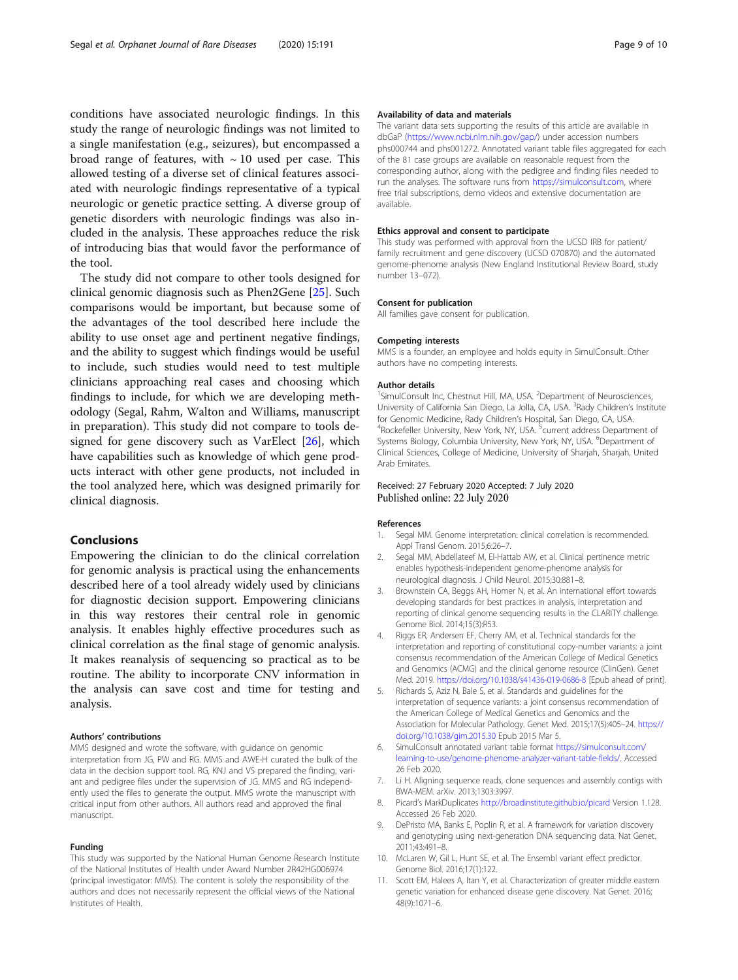<span id="page-8-0"></span>conditions have associated neurologic findings. In this study the range of neurologic findings was not limited to a single manifestation (e.g., seizures), but encompassed a broad range of features, with  $\sim$  10 used per case. This allowed testing of a diverse set of clinical features associated with neurologic findings representative of a typical neurologic or genetic practice setting. A diverse group of genetic disorders with neurologic findings was also included in the analysis. These approaches reduce the risk of introducing bias that would favor the performance of the tool.

The study did not compare to other tools designed for clinical genomic diagnosis such as Phen2Gene [\[25](#page-9-0)]. Such comparisons would be important, but because some of the advantages of the tool described here include the ability to use onset age and pertinent negative findings, and the ability to suggest which findings would be useful to include, such studies would need to test multiple clinicians approaching real cases and choosing which findings to include, for which we are developing methodology (Segal, Rahm, Walton and Williams, manuscript in preparation). This study did not compare to tools designed for gene discovery such as VarElect [[26](#page-9-0)], which have capabilities such as knowledge of which gene products interact with other gene products, not included in the tool analyzed here, which was designed primarily for clinical diagnosis.

# Conclusions

Empowering the clinician to do the clinical correlation for genomic analysis is practical using the enhancements described here of a tool already widely used by clinicians for diagnostic decision support. Empowering clinicians in this way restores their central role in genomic analysis. It enables highly effective procedures such as clinical correlation as the final stage of genomic analysis. It makes reanalysis of sequencing so practical as to be routine. The ability to incorporate CNV information in the analysis can save cost and time for testing and analysis.

# Authors' contributions

MMS designed and wrote the software, with guidance on genomic interpretation from JG, PW and RG. MMS and AWE-H curated the bulk of the data in the decision support tool. RG, KNJ and VS prepared the finding, variant and pedigree files under the supervision of JG. MMS and RG independently used the files to generate the output. MMS wrote the manuscript with critical input from other authors. All authors read and approved the final manuscript.

# Funding

This study was supported by the National Human Genome Research Institute of the National Institutes of Health under Award Number 2R42HG006974 (principal investigator: MMS). The content is solely the responsibility of the authors and does not necessarily represent the official views of the National Institutes of Health.

# Availability of data and materials

The variant data sets supporting the results of this article are available in dbGaP ([https://www.ncbi.nlm.nih.gov/gap/\)](https://www.ncbi.nlm.nih.gov/gap/) under accession numbers phs000744 and phs001272. Annotated variant table files aggregated for each of the 81 case groups are available on reasonable request from the corresponding author, along with the pedigree and finding files needed to run the analyses. The software runs from [https://simulconsult.com,](https://simulconsult.com) where free trial subscriptions, demo videos and extensive documentation are available.

## Ethics approval and consent to participate

This study was performed with approval from the UCSD IRB for patient/ family recruitment and gene discovery (UCSD 070870) and the automated genome-phenome analysis (New England Institutional Review Board, study number 13–072).

## Consent for publication

All families gave consent for publication.

#### Competing interests

MMS is a founder, an employee and holds equity in SimulConsult. Other authors have no competing interests.

## Author details

<sup>1</sup>SimulConsult Inc, Chestnut Hill, MA, USA. <sup>2</sup>Department of Neurosciences, University of California San Diego, La Jolla, CA, USA. <sup>3</sup>Rady Children's Institute for Genomic Medicine, Rady Children's Hospital, San Diego, CA, USA. Rockefeller University, New York, NY, USA. <sup>5</sup>current address Department of Systems Biology, Columbia University, New York, NY, USA. <sup>6</sup>Department of Clinical Sciences, College of Medicine, University of Sharjah, Sharjah, United Arab Emirates.

# Received: 27 February 2020 Accepted: 7 July 2020 Published online: 22 July 2020

#### References

- Segal MM. Genome interpretation: clinical correlation is recommended. Appl Transl Genom. 2015;6:26–7.
- 2. Segal MM, Abdellateef M, El-Hattab AW, et al. Clinical pertinence metric enables hypothesis-independent genome-phenome analysis for neurological diagnosis. J Child Neurol. 2015;30:881–8.
- 3. Brownstein CA, Beggs AH, Homer N, et al. An international effort towards developing standards for best practices in analysis, interpretation and reporting of clinical genome sequencing results in the CLARITY challenge. Genome Biol. 2014;15(3):R53.
- 4. Riggs ER, Andersen EF, Cherry AM, et al. Technical standards for the interpretation and reporting of constitutional copy-number variants: a joint consensus recommendation of the American College of Medical Genetics and Genomics (ACMG) and the clinical genome resource (ClinGen). Genet Med. 2019. <https://doi.org/10.1038/s41436-019-0686-8> [Epub ahead of print].
- 5. Richards S, Aziz N, Bale S, et al. Standards and guidelines for the interpretation of sequence variants: a joint consensus recommendation of the American College of Medical Genetics and Genomics and the Association for Molecular Pathology. Genet Med. 2015;17(5):405–24. [https://](https://doi.org/10.1038/gim.2015.30) [doi.org/10.1038/gim.2015.30](https://doi.org/10.1038/gim.2015.30) Epub 2015 Mar 5.
- 6. SimulConsult annotated variant table format [https://simulconsult.com/](https://simulconsult.com/learning-to-use/genome-phenome-analyzer-variant-table-fields/) [learning-to-use/genome-phenome-analyzer-variant-table-fields/.](https://simulconsult.com/learning-to-use/genome-phenome-analyzer-variant-table-fields/) Accessed 26 Feb 2020.
- 7. Li H. Aligning sequence reads, clone sequences and assembly contigs with BWA-MEM. arXiv. 2013;1303:3997.
- 8. Picard's MarkDuplicates <http://broadinstitute.github.io/picard> Version 1.128. Accessed 26 Feb 2020.
- 9. DePristo MA, Banks E, Poplin R, et al. A framework for variation discovery and genotyping using next-generation DNA sequencing data. Nat Genet. 2011;43:491–8.
- 10. McLaren W, Gil L, Hunt SE, et al. The Ensembl variant effect predictor. Genome Biol. 2016;17(1):122.
- 11. Scott EM, Halees A, Itan Y, et al. Characterization of greater middle eastern genetic variation for enhanced disease gene discovery. Nat Genet. 2016; 48(9):1071–6.